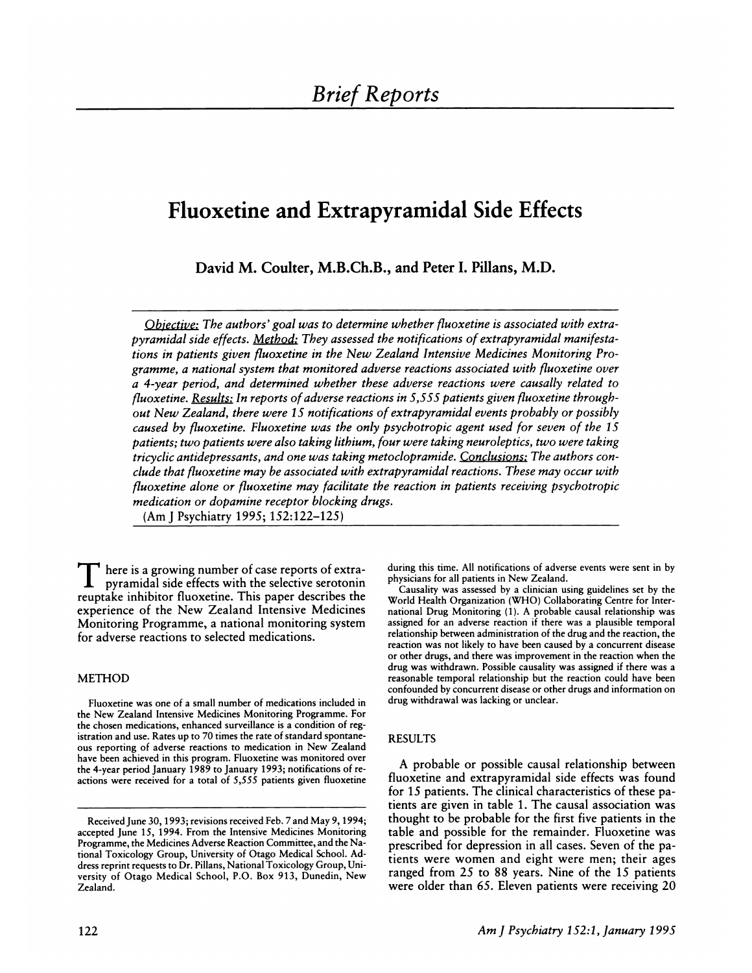# **Fluoxetine and Extrapyramidal Side Effects**

David M. Coulter, M.B.Ch.B., and Peter I. Pillans, M.D.

*Objective: The authors' goal was to determine whether fluoxetine is associated with extra pyramidal side effects. Method: They assessed the notifications of extrapyramidal manifestations in patients given fluoxetine in the New Zealand Intensive Medicines Monitoring Programme, a national system that monitored adverse reactions associated with fluoxetine over a 4-year period, and determined whether these adverse reactions were causally related to* fi *uoxetine. Results: In reports ofadverse reactions in 5,555 patients given fluoxetine through out New Zealand, there were 1 5 notifications of extrapyramidal events probably or possibly caused by fluoxetine. Fluoxetine was the only psychotropic agent used for seven of the 15 patients; two patients were also taking lithium, four were taking neuroleptics, two were taking tricyclic antidepressants, and one was taking metoclopramide. Conclusions: The authors con dude that fluoxetine may be associated with extrapyramidal reactions. These may occur with* fi *uoxetine alone or fluoxetine may facilitate the reaction in patients receiving psychotropic medication or dopamine receptor blocking drugs.* (Am J Psychiatry 1995; 152:122-125)

**T** here is <sup>a</sup> growing number of case reports of extrapyramidal side effects with the selective serotonin reuptake inhibitor fluoxetine. This paper describes the experience of the New Zealand Intensive Medicines Monitoring Programme, a national monitoring system for adverse reactions to selected medications.

## METHOD

Fluoxetine was one of a small number of medications included in the New Zealand Intensive Medicines Monitoring Programme. For the chosen medications, enhanced surveillance is a condition of registration and use. Rates up to 70 times the rate of standard spontane ous reporting of adverse reactions to medication in New Zealand have been achieved in this program. Fluoxetine was monitored oven the 4-year period January 1989 to January 1993; notifications of ne actions were received for a total of *5,555* patients given fluoxetine

during this time. All notifications of adverse events were sent in by physicians for all patients in New Zealand.

Causality was assessed by a clinician using guidelines set by the World Health Organization (WHO) Collaborating Centre for Inter national Drug Monitoring (1). A probable causal relationship was assigned for an adverse reaction if there was a plausible temporal relationship between administration of the drug and the reaction, the reaction was not likely to have been caused by a concurrent disease or other drugs, and there was improvement in the reaction when the drug was withdrawn. Possible causality was assigned if there was a reasonable temporal relationship but the reaction could have been confounded by concurrent disease or other drugs and information on drug withdrawal was lacking or unclear.

## RESULTS

A probable or possible causal relationship between fluoxetine and extrapyramidal side effects was found for 15 patients. The clinical characteristics of these patients are given in table 1 **.** The causal association was thought to be probable for the first five patients in the table and possible for the remainder. Fluoxetine was prescribed for depression in all cases. Seven of the patients were women and eight were men; their ages ranged from 25 to 88 years. Nine of the 15 patients were older than 65. Eleven patients were receiving 20

Received June 30, 1993; revisions received Feb. 7 and May 9, 1994; accepted June 15, 1994. From the Intensive Medicines Monitoring Programme, the Medicines Adverse Reaction Committee, and the National Toxicology Group, University of Otago Medical School. Ad dress reprint requests to Dr. Pillans, National Toxicology Group, Uni versity of Otago Medical School, P.O. Box 913, Dunedin, New Zealand.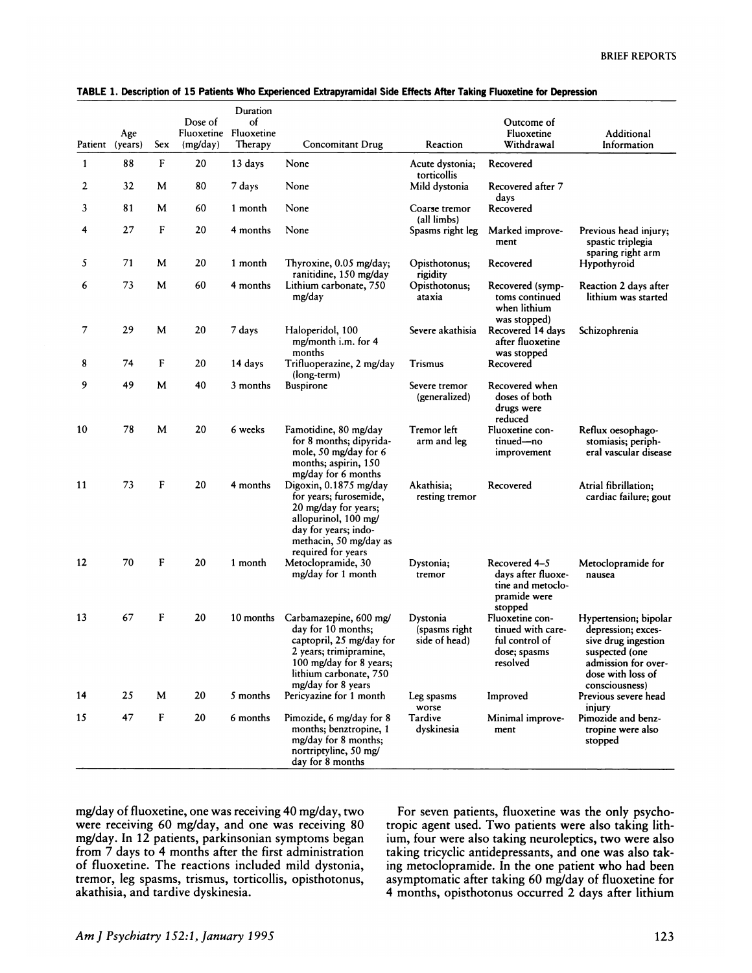| Patient      | Age<br>(years) | Sex     | Dose of<br>Fluoxetine<br>(mg/day) | Duration<br>of<br>Fluoxetine<br>Therapy | Concomitant Drug                                                                                                                                                              | Reaction                                   | Outcome of<br>Fluoxetine<br>Withdrawal                                              | Additional<br>Information                                                                                                                          |
|--------------|----------------|---------|-----------------------------------|-----------------------------------------|-------------------------------------------------------------------------------------------------------------------------------------------------------------------------------|--------------------------------------------|-------------------------------------------------------------------------------------|----------------------------------------------------------------------------------------------------------------------------------------------------|
| $\mathbf{1}$ | 88             | F       | 20                                | 13 days                                 | None                                                                                                                                                                          | Acute dystonia;                            | Recovered                                                                           |                                                                                                                                                    |
| 2            | 32             | M       | 80                                | 7 days                                  | None                                                                                                                                                                          | torticollis<br>Mild dystonia               | Recovered after 7                                                                   |                                                                                                                                                    |
| 3            | 81             | M       | 60                                | 1 month                                 | None                                                                                                                                                                          | Coarse tremor<br>(all limbs)               | days<br>Recovered                                                                   |                                                                                                                                                    |
| 4            | 27             | F       | 20                                | 4 months                                | None                                                                                                                                                                          | Spasms right leg                           | Marked improve-<br>ment                                                             | Previous head injury;<br>spastic triplegia<br>sparing right arm                                                                                    |
| 5            | 71             | M       | 20                                | 1 month                                 | Thyroxine, 0.05 mg/day;<br>ranitidine, 150 mg/day                                                                                                                             | Opisthotonus:<br>rigidity                  | Recovered                                                                           | Hypothyroid                                                                                                                                        |
| 6            | 73             | М       | 60                                | 4 months                                | Lithium carbonate, 750<br>mg/day                                                                                                                                              | Opisthotonus;<br>ataxia                    | Recovered (symp-<br>toms continued<br>when lithium<br>was stopped)                  | Reaction 2 days after<br>lithium was started                                                                                                       |
| 7            | 29             | M       | 20                                | 7 days                                  | Haloperidol, 100<br>mg/month i.m. for 4<br>months                                                                                                                             | Severe akathisia                           | Recovered 14 days<br>after fluoxetine<br>was stopped                                | Schizophrenia                                                                                                                                      |
| 8            | 74             | F       | 20                                | 14 days                                 | Trifluoperazine, 2 mg/day<br>(long-term)                                                                                                                                      | <b>Trismus</b>                             | Recovered                                                                           |                                                                                                                                                    |
| 9            | 49             | M       | 40                                | 3 months                                | <b>Buspirone</b>                                                                                                                                                              | Severe tremor<br>(generalized)             | Recovered when<br>doses of both<br>drugs were<br>reduced                            |                                                                                                                                                    |
| 10           | 78             | M       | 20                                | 6 weeks                                 | Famotidine, 80 mg/day<br>for 8 months; dipyrida-<br>mole, 50 mg/day for 6<br>months; aspirin, 150<br>mg/day for 6 months                                                      | Tremor left<br>arm and leg                 | Fluoxetine con-<br>tinued-no<br>improvement                                         | Reflux oesophago-<br>stomiasis; periph-<br>eral vascular disease                                                                                   |
| 11           | 73             | F       | 20                                | 4 months                                | Digoxin, 0.1875 mg/day<br>for years; furosemide,<br>20 mg/day for years;<br>allopurinol, 100 mg/<br>day for years; indo-<br>methacin, 50 mg/day as<br>required for years      | Akathisia;<br>resting tremor               | Recovered                                                                           | Atrial fibrillation;<br>cardiac failure; gout                                                                                                      |
| 12           | 70             | F       | 20                                | 1 month                                 | Metoclopramide, 30<br>mg/day for 1 month                                                                                                                                      | Dystonia;<br>tremor                        | Recovered 4–5<br>davs after fluoxe-<br>tine and metoclo-<br>pramide were<br>stopped | Metoclopramide for<br>nausea                                                                                                                       |
| 13           | 67             | F       | 20                                | 10 months                               | Carbamazepine, 600 mg/<br>day for 10 months;<br>captopril, 25 mg/day for<br>2 years; trimipramine,<br>100 mg/day for 8 years;<br>lithium carbonate, 750<br>mg/day for 8 years | Dystonia<br>(spasms right<br>side of head) | Fluoxetine con-<br>tinued with care-<br>ful control of<br>dose; spasms<br>resolved  | Hypertension; bipolar<br>depression; exces-<br>sive drug ingestion<br>suspected (one<br>admission for over-<br>dose with loss of<br>consciousness) |
| 14           | 25             | M       | 20                                | 5 months                                | Pericyazine for 1 month                                                                                                                                                       | Leg spasms<br>worse                        | Improved                                                                            | Previous severe head<br>injury                                                                                                                     |
| 15           | 47             | $\bf F$ | 20                                | 6 months                                | Pimozide, 6 mg/day for 8<br>months; benztropine, 1<br>mg/day for 8 months;<br>nortriptyline, 50 mg/<br>day for 8 months                                                       | Tardive<br>dyskinesia                      | Minimal improve-<br>ment                                                            | Pimozide and benz-<br>tropine were also<br>stopped                                                                                                 |

# **TABLE 1. Description of15 Patients Who Experienced Extrapyramidal Side Effects After Taking Fluoxetine for Depression**

mg/day of fluoxetine, one was receiving 40 mg/day, two were receiving 60 mg/day, and one was receiving 80 mg/day. In 12 patients, parkinsonian symptoms began from 7 days to 4 months after the first administration of fluoxetine. The reactions included mild dystonia, tremor, leg spasms, trismus, torticollis, opisthotonus, akathisia, and tardive dyskinesia.

For seven patients, fluoxetine was the only psychotropic agent used. Two patients were also taking lithium, four were also taking neunoleptics, two were also taking tricyclic antidepressants, and one was also taking metoclopramide. In the one patient who had been asymptomatic after taking 60 mg/day of fluoxetine for 4 months, opisthotonus occurred 2 days after lithium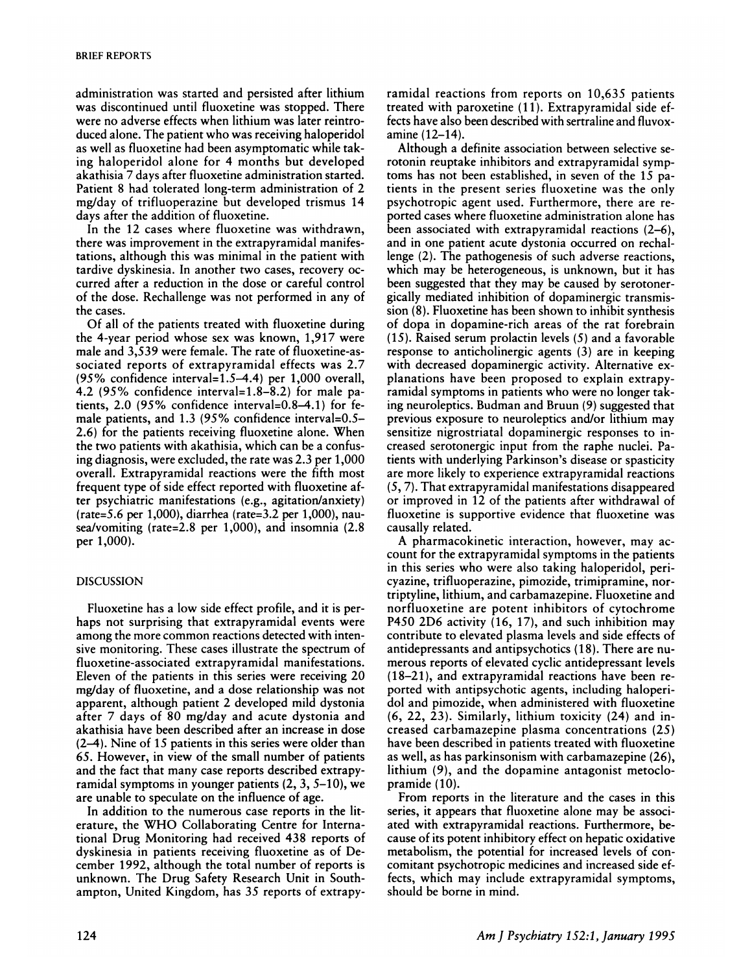administration was started and persisted after lithium was discontinued until fluoxetine was stopped. There were no adverse effects when lithium was later reintroduced alone. The patient who was receiving haloperidol as well as fluoxetine had been asymptomatic while taking haloperidol alone for 4 months but developed akathisia 7 days after fluoxetine administration started. Patient 8 had tolerated long-term administration of 2 mg/day of trifluoperazine but developed trismus 14 days after the addition of fluoxetine.

In the 12 cases where fluoxetine was withdrawn, there was improvement in the extrapyramidal manifestations, although this was minimal in the patient with tardive dyskinesia. In another two cases, recovery oc curred after a reduction in the dose or careful control of the dose. Rechallenge was not performed in any of the cases.

Of all of the patients treated with fluoxetine during the 4-year period whose sex was known, 1,917 were male and 3,539 were female. The rate of fluoxetine-associated reports of extrapyramidal effects was 2.7 *(95%* confidence interval=1.S-4.4) per 1,000 overall, 4.2 *(95%* confidence interval=1.8-8.2) for male patients, 2.0 *(95%* confidence interval=0.8-4.1) for female patients, and 1.3 (95% confidence interval=0.5– 2.6) for the patients receiving fluoxetine alone. When the two patients with akathisia, which can be a confusing diagnosis, were excluded, the rate was 2.3 per 1,000 overall. Extrapyramidal reactions were the fifth most frequent type of side effect reported with fluoxetine aften psychiatric manifestations (e.g., agitation/anxiety) (nate=S.6 per 1,000), diarrhea (rate=3.2 per 1,000), nau sea/vomiting (rate=2.8 per 1,000), and insomnia (2.8 per 1,000).

#### DISCUSSION

Fluoxetine has a low side effect profile, and it is perhaps not surprising that extrapyramidal events were among the more common reactions detected with intensive monitoring. These cases illustrate the spectrum of fluoxetine-associated extrapyramidal manifestations. Eleven of the patients in this series were receiving 20 mg/day of fluoxetine, and a dose relationship was not apparent, although patient 2 developed mild dystonia after 7 days of 80 mg/day and acute dystonia and akathisia have been described after an increase in dose (2-4). Nine of 15 patients in this series were older than **65.** However, in view of the small number of patients and the fact that many case reports described extrapyramidal symptoms in younger patients (2, 3, 5-10), we are unable to speculate on the influence of age.

**In** addition to the numerous case reports in the literature, the WHO Collaborating Centre for International Drug Monitoring had received 438 reports of dyskinesia in patients receiving fluoxetine as of December 1 992, although the total number of reports is unknown. The Drug Safety Research Unit in Southampton, United Kingdom, has 35 reports of extrapyramidal reactions from reports on 10,635 patients treated with paroxetine (11). Extrapyramidal side effects have also been described with sentraline and fluvoxamine (12-14).

Although a definite association between selective serotonin reuptake inhibitors and extrapyramidal symptoms has not been established, in seven of the 15 patients in the present series fluoxetine was the only psychotropic agent used. Furthermore, there are reported cases where fluoxetine administration alone has been associated with extrapyramidal reactions (2-6), and in one patient acute dystonia occurred on nechallenge (2). The pathogenesis of such adverse reactions, which may be heterogeneous, is unknown, but it has been suggested that they may be caused by serotonergically mediated inhibition of dopaminergic transmission (8). Fluoxetine has been shown to inhibit synthesis of dopa in dopamine-nich areas of the rat forebrain (15). Raised serum prolactin levels *(5)* and a favorable response to anticholinergic agents (3) are in keeping with decreased dopaminergic activity. Alternative ex planations have been proposed to explain extrapyramidal symptoms in patients who were no longer taking neuroleptics. Budman and Bruun (9) suggested that previous exposure to neuroleptics and/or lithium may sensitize nigrostriatal dopaminergic responses to increased serotonergic input from the raphe nuclei. Patients with underlying Parkinson's disease or spasticity are more likely to experience extrapyramidal reactions *(5,* 7). That extrapyramidal manifestations disappeared or improved in 12 of the patients after withdrawal of fluoxetine is supportive evidence that fluoxetine was causally related.

A pharmacokinetic interaction, however, may ac count for the extrapyrarnidal symptoms in the patients in this series who were also taking haloperidol, pericyazine, trifluoperazine, pimozide, trimipramine, nortriptyline, lithium, and carbamazepine. Fluoxetine and norfluoxetine are potent inhibitors of cytochrome P450 2D6 activity (16, 17), and such inhibition may contribute to elevated plasma levels and side effects of antidepressants and antipsychotics (18). There are numerous reports of elevated cyclic antidepressant levels (1 8-21 *),* and extrapyramidal reactions have been me ported with antipsychotic agents, including halopenidol and pimozide, when administered with fluoxetine (6, 22, 23). Similarly, lithium toxicity (24) and increased carbamazepine plasma concentrations (25) have been described in patients treated with fluoxetine as well, as has parkinsonism with carbamazepine (26), lithium (9), and the dopamine antagonist metoclopramide (10).

From reports in the literature and the cases in this series, it appears that fluoxetine alone may be associated with extrapyramidal reactions. Furthermore, be cause of its potent inhibitory effect on hepatic oxidative metabolism, the potential for increased levels of con comitant psychotropic medicines and increased side effects, which may include extrapyramidal symptoms, should be borne in mind.